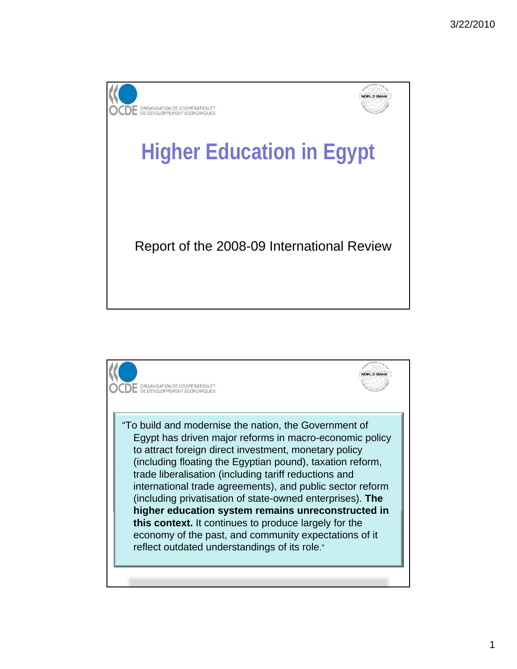

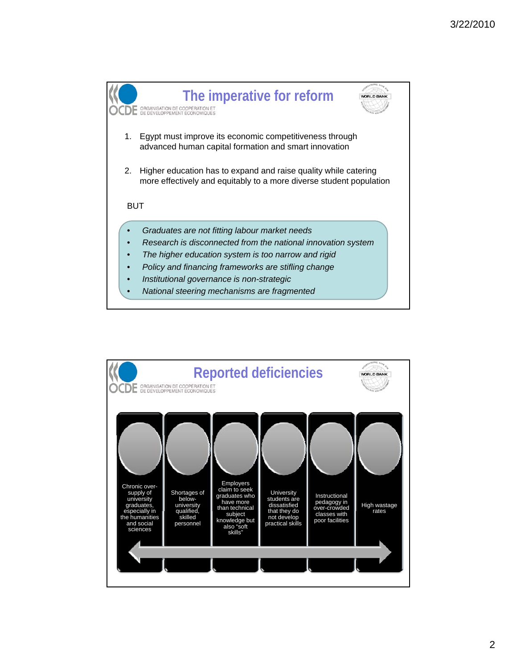

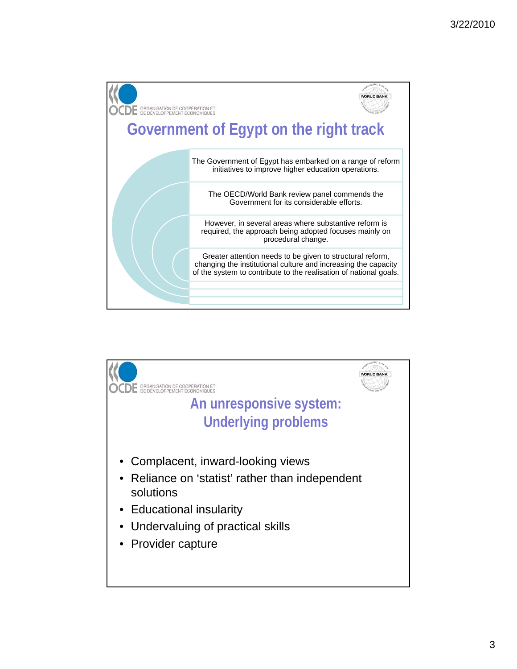

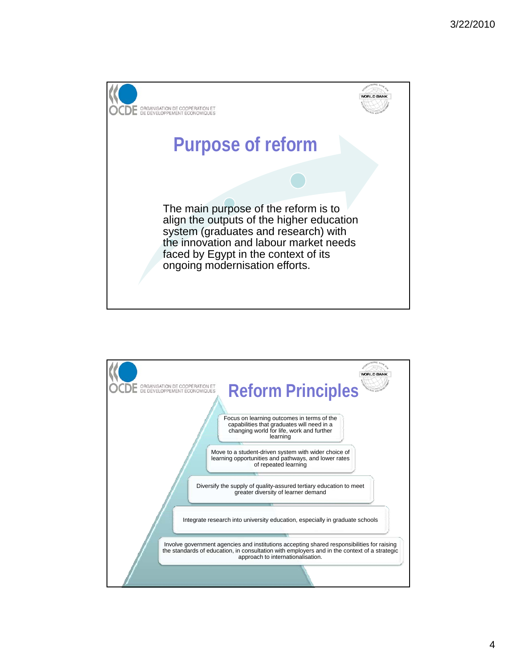

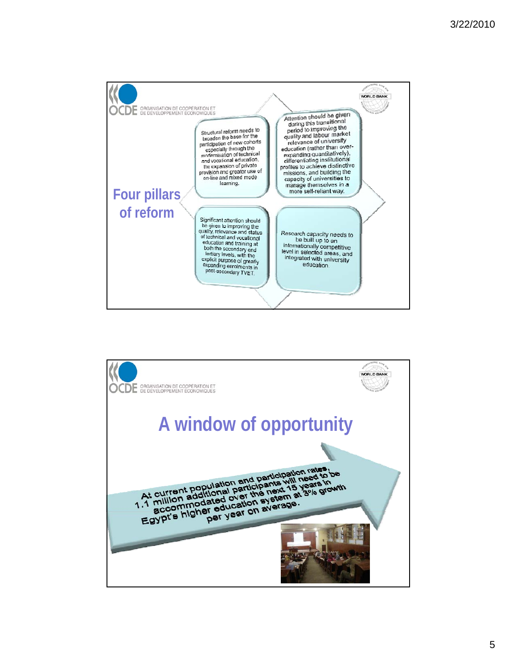

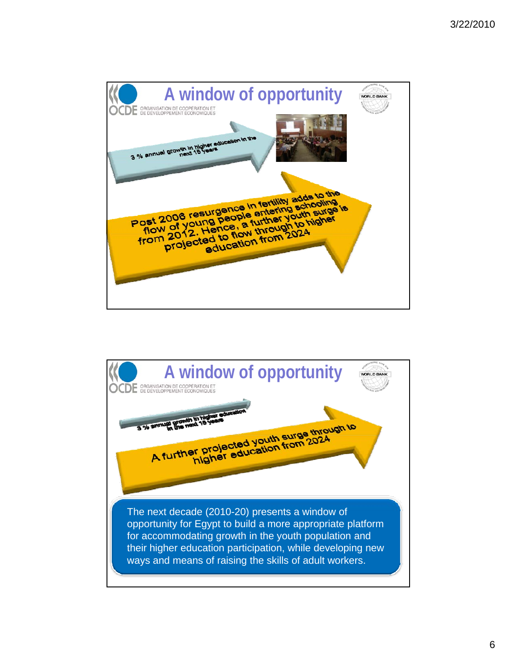

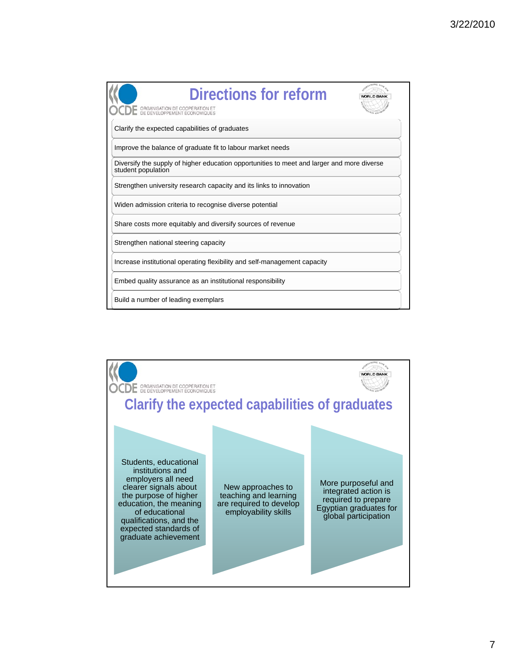

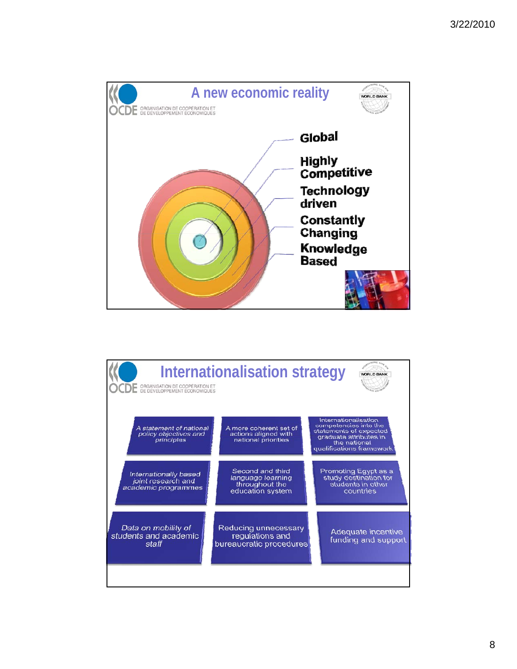

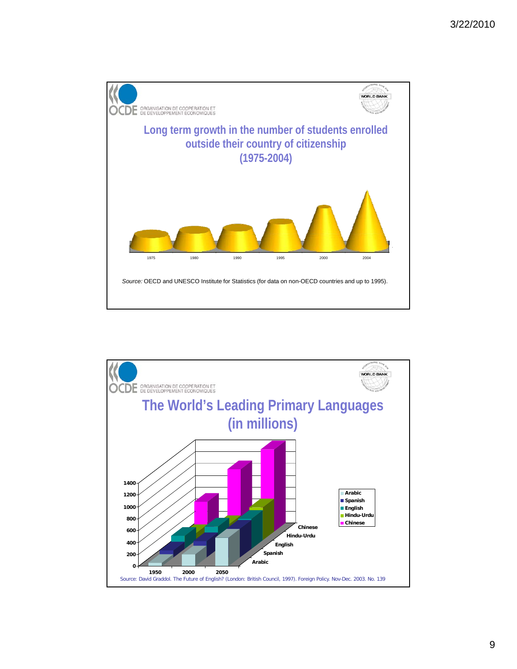

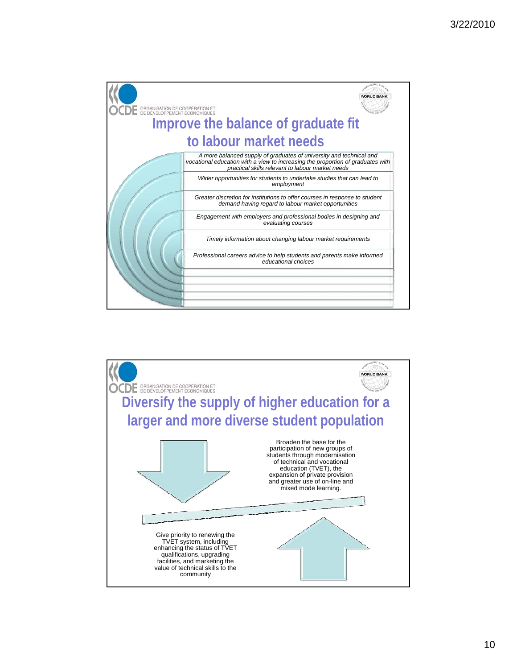

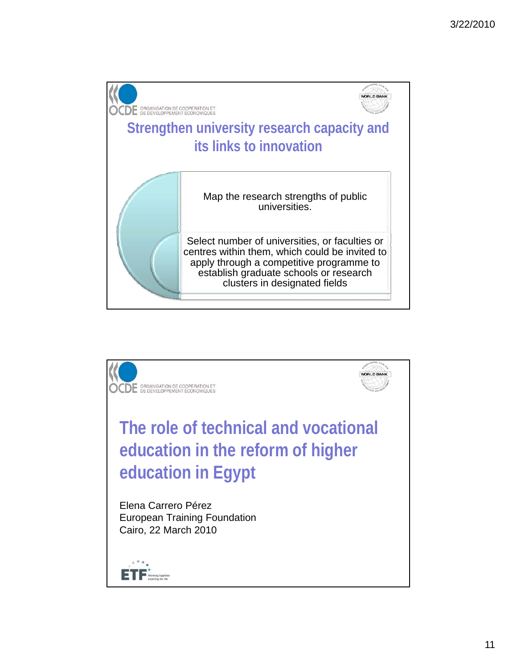

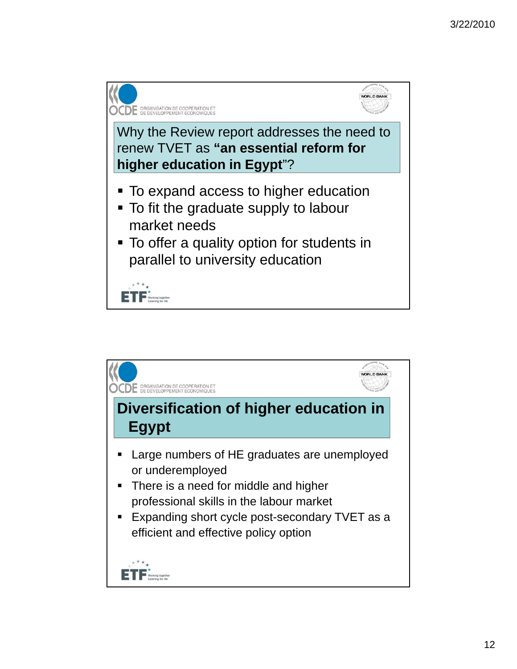

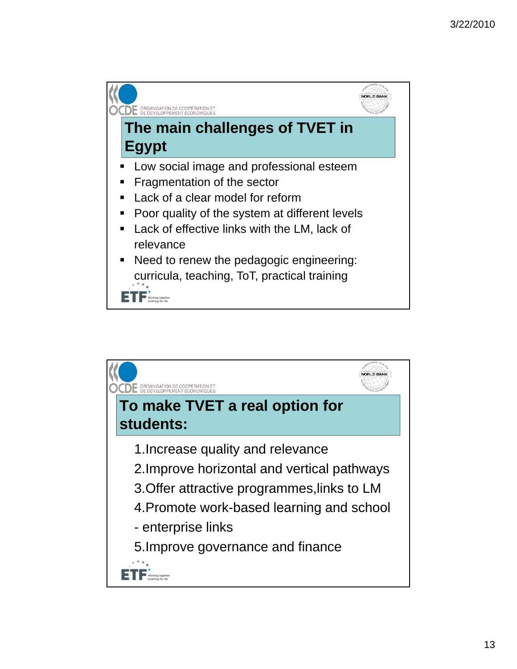

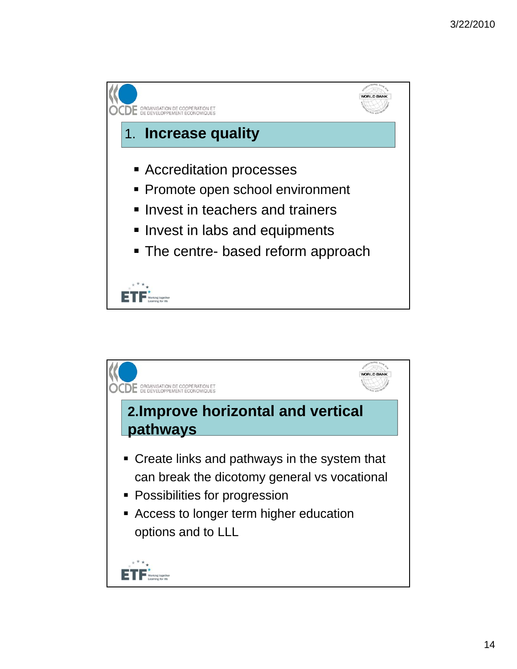

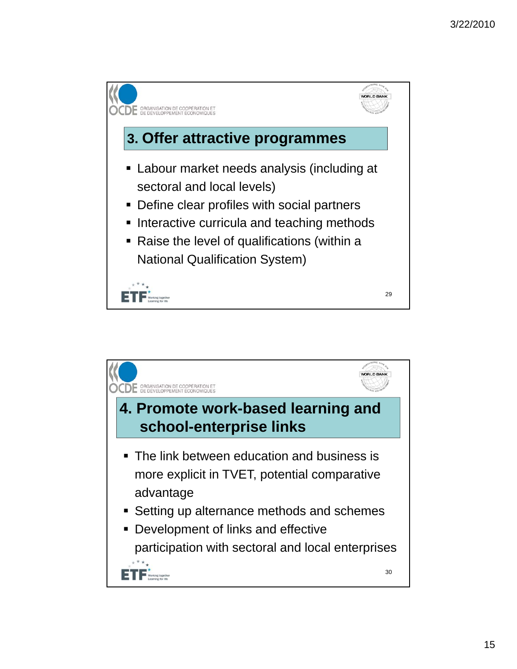

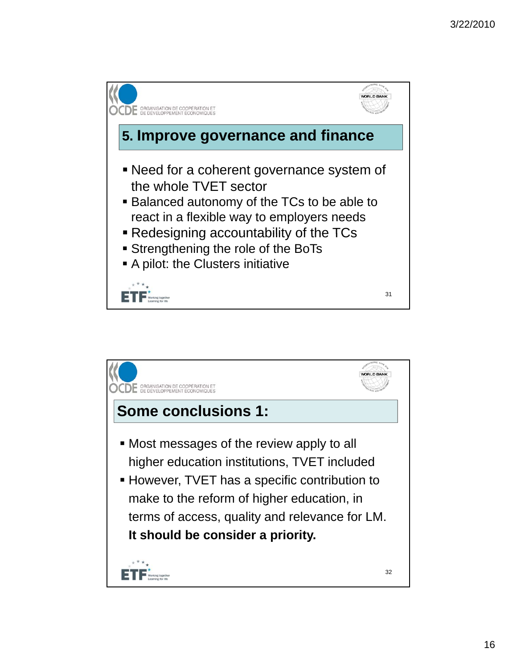

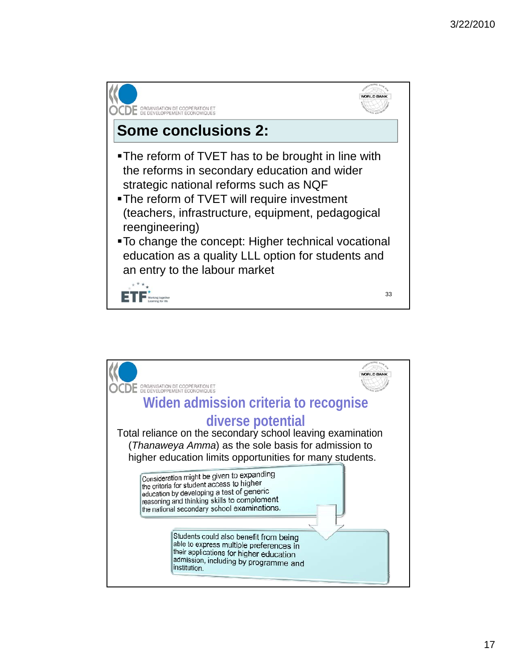

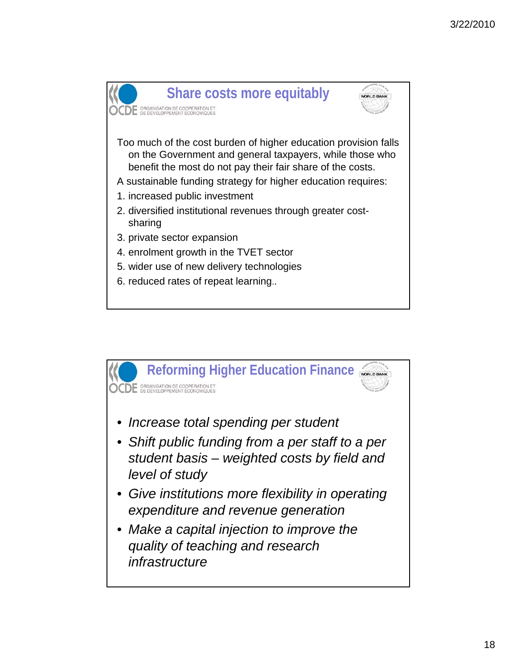

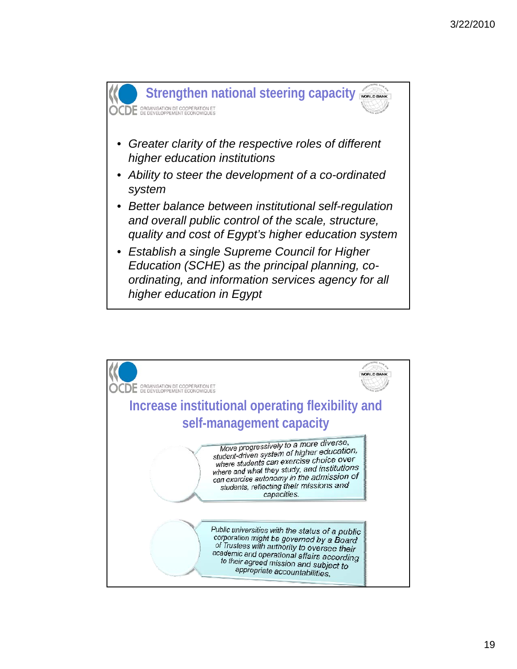

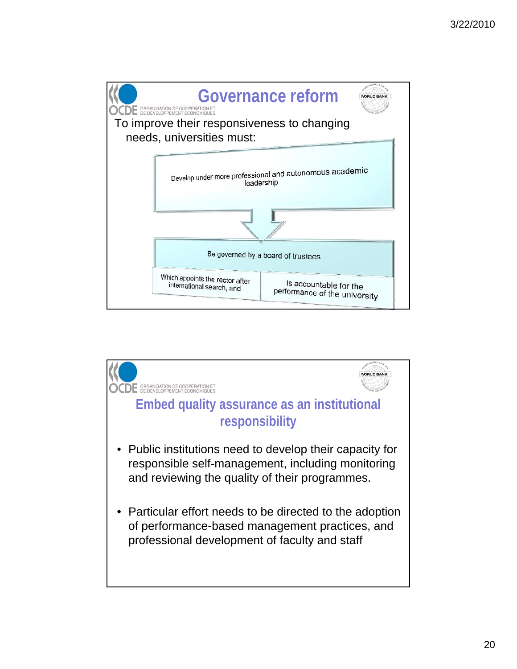

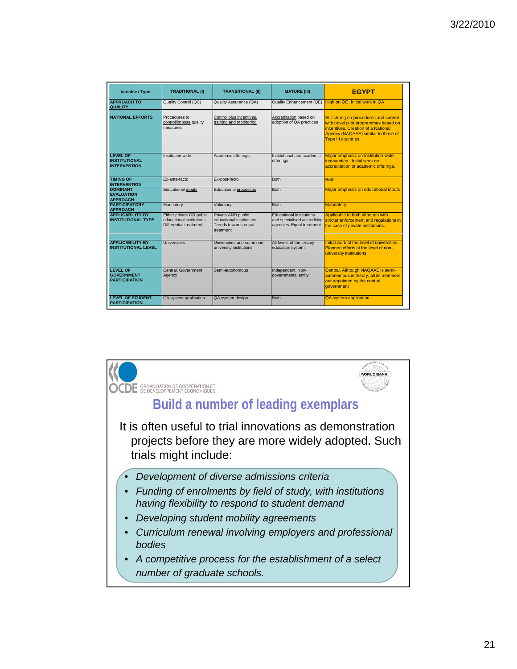| Variable / Type                                                | <b>TRADITIONAL (I)</b>                                                          | <b>TRANSITIONAL (II)</b>                                                             | <b>MATURE (III)</b>                                                                         | <b>EGYPT</b>                                                                                                                                                                       |
|----------------------------------------------------------------|---------------------------------------------------------------------------------|--------------------------------------------------------------------------------------|---------------------------------------------------------------------------------------------|------------------------------------------------------------------------------------------------------------------------------------------------------------------------------------|
| <b>APPROACH TO</b><br><b>QUALITY</b>                           | Quality Control (QC)                                                            | Quality Assurance (QA)                                                               | Quality Enhancement (QE)                                                                    | High on QC. Initial work in QA                                                                                                                                                     |
| <b>NATIONAL EFFORTS</b>                                        | Procedures to<br>control/impose quality<br>measures                             | Control plus incentives.<br>training and monitoring                                  | Accreditation based on<br>adoption of QA practices                                          | Still strong on procedures and control<br>with novel pilot programmes based on<br>incentives. Creation of a National<br>Agency (NAQAAE) similar to those of<br>Type III countries. |
| <b>LEVEL OF</b><br><b>INSTITUTIONAL</b><br><b>INTERVENTION</b> | Institution-wide                                                                | Academic offerings                                                                   | Institutional and academic<br>offerings                                                     | Major emphasis on Institution-wide<br>intervention, Initial work on<br>accreditation of academic offerings.                                                                        |
| <b>TIMING OF</b><br><b>INTERVENTION</b>                        | Ex-ante-facto                                                                   | Ex-post-facto                                                                        | <b>Both</b>                                                                                 | <b>Both</b>                                                                                                                                                                        |
| <b>DOMINANT</b><br><b>EVALUATION</b><br><b>APPROACH</b>        | <b>Educational inputs</b>                                                       | <b>Educational processes</b>                                                         | <b>Both</b>                                                                                 | Major emphasis on educational inputs                                                                                                                                               |
| <b>PARTICIPATORY</b><br><b>APPROACH</b>                        | Mandatory                                                                       | Voluntary                                                                            | <b>Both</b>                                                                                 | Mandatory                                                                                                                                                                          |
| <b>APPLICABILITY BY</b><br><b>INSTITUTIONAL TYPE</b>           | Either private OR public<br>educational institutions.<br>Differential treatment | Private AND public<br>educational institutions.<br>Trends towards equal<br>treatment | <b>Educational institutions</b><br>and specialised accrediting<br>agencies. Equal treatment | Applicable to both although with<br>stricter enforcement and regulations in<br>the case of private institutions.                                                                   |
| <b>APPLICABILITY BY</b><br><b>INSTITUTIONAL LEVEL</b>          | Universities                                                                    | Universities and some non-<br>university institutions                                | All levels of the tertiary<br>education system                                              | Initial work at the level of universities.<br>Planned efforts at the level of non-<br>university institutions                                                                      |
| <b>LEVEL OF</b><br><b>GOVERNMENT</b><br><b>PARTICIPATION</b>   | Central, Government<br>Agency                                                   | Semi-autonomous                                                                      | Independent. Non-<br>governmental entity                                                    | Central. Although NAQAAE is semi-<br>autonomous in theory, all its members<br>are appointed by the central<br><b>aovernment</b>                                                    |
| <b>LEVEL OF STUDENT</b><br><b>PARTICIPATION</b>                | QA system application                                                           | QA system design                                                                     | <b>Both</b>                                                                                 | <b>QA</b> system application                                                                                                                                                       |

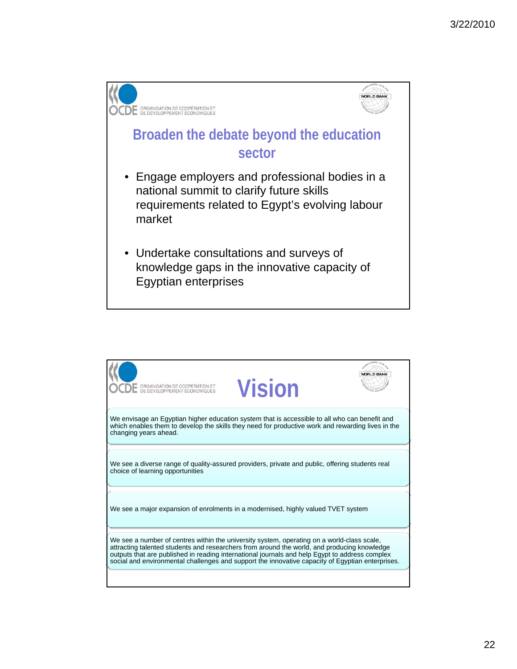